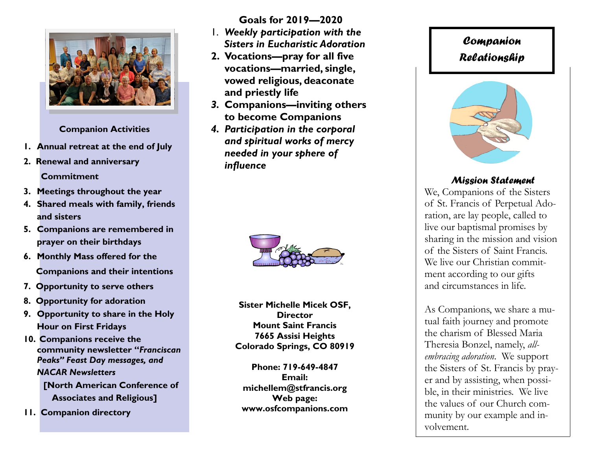

**Companion Activities**

- **1. Annual retreat at the end of July**
- **2. Renewal and anniversary Commitment**
- **3. Meetings throughout the year**
- **4. Shared meals with family, friends and sisters**
- **5. Companions are remembered in prayer on their birthdays**
- **6. Monthly Mass offered for the Companions and their intentions**
- **7. Opportunity to serve others**
- **8. Opportunity for adoration**
- **9. Opportunity to share in the Holy Hour on First Fridays**
- **10. Companions receive the community newsletter "***Franciscan Peaks" Feast Day messages, and NACAR Newsletters*  **[North American Conference of Associates and Religious]**
- **11. Companion directory**

**Goals for 2019—2020**

- 1. *Weekly participation with the Sisters in Eucharistic Adoration*
- **2. Vocations—pray for all five vocations—married, single, vowed religious, deaconate and priestly life**
- *3.* **Companions—inviting others to become Companions**
- *4. Participation in the corporal and spiritual works of mercy needed in your sphere of influence*



**Sister Michelle Micek OSF, Director Mount Saint Francis 7665 Assisi Heights Colorado Springs, CO 80919**

**Phone: 719-649-4847 Email: michellem@stfrancis.org Web page: www.osfcompanions.com**

# *Companion Relationship*



## *Mission Statement*

We, Companions of the Sisters of St. Francis of Perpetual Adoration, are lay people, called to live our baptismal promises by sharing in the mission and vision of the Sisters of Saint Francis. We live our Christian commitment according to our gifts and circumstances in life.

As Companions, we share a mutual faith journey and promote the charism of Blessed Maria Theresia Bonzel, namely, *allembracing adoration*. We support the Sisters of St. Francis by prayer and by assisting, when possible, in their ministries. We live the values of our Church community by our example and involvement.